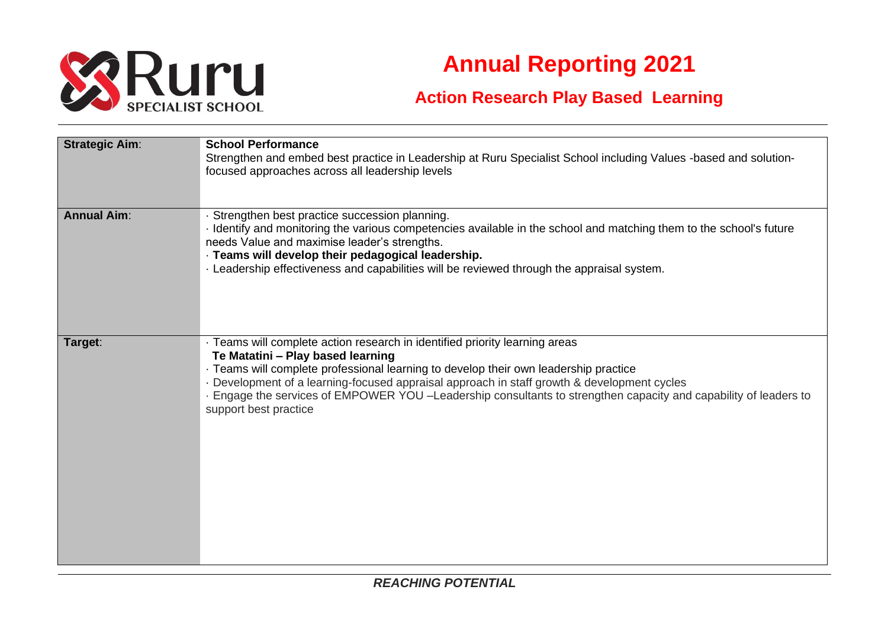

## **Annual Reporting 2021**

## **Action Research Play Based Learning**

| <b>Strategic Aim:</b> | <b>School Performance</b><br>Strengthen and embed best practice in Leadership at Ruru Specialist School including Values -based and solution-<br>focused approaches across all leadership levels                                                                                                                                                                                                                                                   |
|-----------------------|----------------------------------------------------------------------------------------------------------------------------------------------------------------------------------------------------------------------------------------------------------------------------------------------------------------------------------------------------------------------------------------------------------------------------------------------------|
| <b>Annual Aim:</b>    | · Strengthen best practice succession planning.<br>· Identify and monitoring the various competencies available in the school and matching them to the school's future<br>needs Value and maximise leader's strengths.<br>· Teams will develop their pedagogical leadership.<br>. Leadership effectiveness and capabilities will be reviewed through the appraisal system.                                                                         |
| Target:               | · Teams will complete action research in identified priority learning areas<br>Te Matatini - Play based learning<br>· Teams will complete professional learning to develop their own leadership practice<br>- Development of a learning-focused appraisal approach in staff growth & development cycles<br>Engage the services of EMPOWER YOU -Leadership consultants to strengthen capacity and capability of leaders to<br>support best practice |